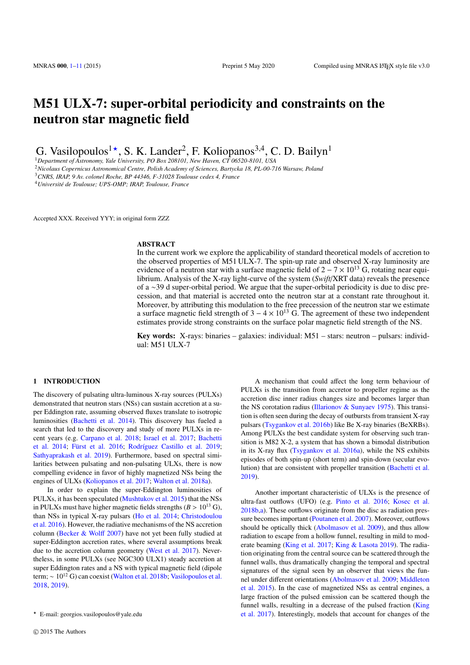# M51 ULX-7: super-orbital periodicity and constraints on the neutron star magnetic field

G. Vasilopoulos<sup>1</sup><sup>\*</sup>, S. K. Lander<sup>2</sup>, F. Koliopanos<sup>3,4</sup>, C. D. Bailyn<sup>1</sup>

<sup>1</sup>*Department of Astronomy, Yale University, PO Box 208101, New Haven, CT 06520-8101, USA*

<sup>2</sup>*Nicolaus Copernicus Astronomical Centre, Polish Academy of Sciences, Bartycka 18, PL-00-716 Warsaw, Poland* <sup>3</sup>*CNRS, IRAP, 9 Av. colonel Roche, BP 44346, F-31028 Toulouse cedex 4, France*

<sup>4</sup>*Université de Toulouse; UPS-OMP; IRAP, Toulouse, France*

Accepted XXX. Received YYY; in original form ZZZ

#### ABSTRACT

In the current work we explore the applicability of standard theoretical models of accretion to the observed properties of M51 ULX-7. The spin-up rate and observed X-ray luminosity are evidence of a neutron star with a surface magnetic field of  $2 - 7 \times 10^{13}$  G, rotating near equilibrium. Analysis of the X-ray light-curve of the system (*Swift*/XRT data) reveals the presence of a ∼39 d super-orbital period. We argue that the super-orbital periodicity is due to disc precession, and that material is accreted onto the neutron star at a constant rate throughout it. Moreover, by attributing this modulation to the free precession of the neutron star we estimate a surface magnetic field strength of  $3 - 4 \times 10^{13}$  G. The agreement of these two independent estimates provide strong constraints on the surface polar magnetic field strength of the NS.

Key words: X-rays: binaries – galaxies: individual: M51 – stars: neutron – pulsars: individual: M51 ULX-7

#### <span id="page-0-0"></span>1 INTRODUCTION

The discovery of pulsating ultra-luminous X-ray sources (PULXs) demonstrated that neutron stars (NSs) can sustain accretion at a super Eddington rate, assuming observed fluxes translate to isotropic luminosities ([Bachetti et al.](#page-9-0) [2014\)](#page-9-0). This discovery has fueled a search that led to the discovery and study of more PULXs in recent years (e.g. [Carpano et al.](#page-9-1) [2018](#page-9-1); [Israel et al.](#page-9-2) [2017](#page-9-2); [Bachetti](#page-9-0) [et al.](#page-9-0) [2014](#page-9-0); [Fürst et al.](#page-9-3) [2016;](#page-9-3) [Rodríguez Castillo et al.](#page-9-4) [2019;](#page-9-4) [Sathyaprakash et al.](#page-9-5) [2019](#page-9-5)). Furthermore, based on spectral similarities between pulsating and non-pulsating ULXs, there is now compelling evidence in favor of highly magnetized NSs being the engines of ULXs ([Koliopanos et al.](#page-9-6) [2017](#page-9-6); [Walton et al.](#page-10-0) [2018a\)](#page-10-0).

In order to explain the super-Eddington luminosities of PULXs, it has been speculated ([Mushtukov et al.](#page-9-7) [2015\)](#page-9-7) that the NSs in PULXs must have higher magnetic fields strengths  $(B > 10^{13} \text{ G})$ , than NSs in typical X-ray pulsars [\(Ho et al.](#page-9-8) [2014](#page-9-8); [Christodoulou](#page-9-9) [et al.](#page-9-9) [2016\)](#page-9-9). However, the radiative mechanisms of the NS accretion column ([Becker & Wol](#page-9-10)ff [2007](#page-9-10)) have not yet been fully studied at super-Eddington accretion rates, where several assumptions break due to the accretion column geometry [\(West et al.](#page-10-1) [2017\)](#page-10-1). Nevertheless, in some PULXs (see NGC300 ULX1) steady accretion at super Eddington rates and a NS with typical magnetic field (dipole term; ∼ 10<sup>12</sup> G) can coexist ([Walton et al.](#page-10-2) [2018b;](#page-10-2) [Vasilopoulos et al.](#page-10-3) [2018](#page-10-3), [2019](#page-10-4)).

A mechanism that could affect the long term behaviour of PULXs is the transition from accretor to propeller regime as the accretion disc inner radius changes size and becomes larger than the NS corotation radius ([Illarionov & Sunyaev](#page-9-11) [1975\)](#page-9-11). This transition is often seen during the decay of outbursts from transient X-ray pulsars [\(Tsygankov et al.](#page-10-5) [2016b\)](#page-10-5) like Be X-ray binaries (BeXRBs). Among PULXs the best candidate system for observing such transition is M82 X-2, a system that has shown a bimodal distribution in its X-ray flux ([Tsygankov et al.](#page-10-6) [2016a](#page-10-6)), while the NS exhibits episodes of both spin-up (short term) and spin-down (secular evolution) that are consistent with propeller transition ([Bachetti et al.](#page-9-12) [2019](#page-9-12)).

Another important characteristic of ULXs is the presence of ultra-fast outflows (UFO) (e.g. [Pinto et al.](#page-9-13) [2016](#page-9-13); [Kosec et al.](#page-9-14) [2018b,](#page-9-14)[a\)](#page-9-15). These outflows originate from the disc as radiation pressure becomes important [\(Poutanen et al.](#page-9-16) [2007](#page-9-16)). Moreover, outflows should be optically thick ([Abolmasov et al.](#page-9-17) [2009](#page-9-17)), and thus allow radiation to escape from a hollow funnel, resulting in mild to moderate beaming [\(King et al.](#page-9-18) [2017;](#page-9-18) [King & Lasota](#page-9-19) [2019](#page-9-19)). The radiation originating from the central source can be scattered through the funnel walls, thus dramatically changing the temporal and spectral signatures of the signal seen by an observer that views the funnel under different orientations [\(Abolmasov et al.](#page-9-17) [2009](#page-9-17); [Middleton](#page-9-20) [et al.](#page-9-20) [2015\)](#page-9-20). In the case of magnetized NSs as central engines, a large fraction of the pulsed emission can be scattered though the funnel walls, resulting in a decrease of the pulsed fraction [\(King](#page-9-18) [et al.](#page-9-18) [2017](#page-9-18)). Interestingly, models that account for changes of the

<sup>⋆</sup> E-mail: georgios.vasilopoulos@yale.edu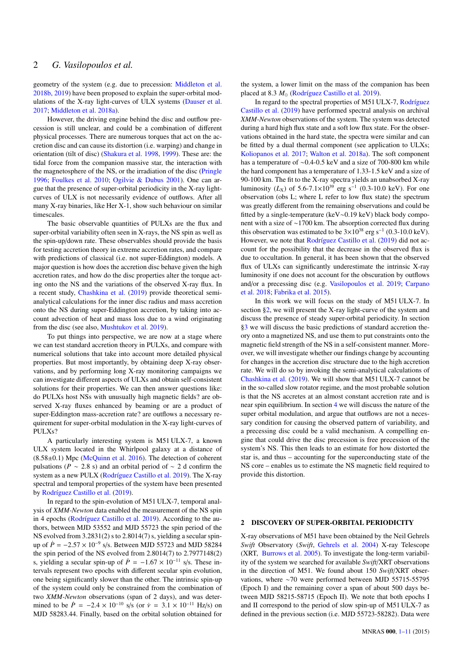geometry of the system (e.g. due to precession: [Middleton et al.](#page-9-21) [2018b,](#page-9-21) [2019\)](#page-9-22) have been proposed to explain the super-orbital modulations of the X-ray light-curves of ULX systems [\(Dauser et al.](#page-9-23) [2017](#page-9-23); [Middleton et al.](#page-9-24) [2018a\)](#page-9-24).

However, the driving engine behind the disc and outflow precession is still unclear, and could be a combination of different physical processes. There are numerous torques that act on the accretion disc and can cause its distortion (i.e. warping) and change in orientation (tilt of disc) [\(Shakura et al.](#page-9-25) [1998,](#page-9-25) [1999](#page-9-26)). These are: the tidal force from the companion massive star, the interaction with the magnetosphere of the NS, or the irradiation of the disc [\(Pringle](#page-9-27) [1996](#page-9-27); [Foulkes et al.](#page-9-28) [2010](#page-9-28); [Ogilvie & Dubus](#page-9-29) [2001\)](#page-9-29). One can argue that the presence of super-orbital periodicity in the X-ray lightcurves of ULX is not necessarily evidence of outflows. After all many X-ray binaries, like Her X-1, show such behaviour on similar timescales.

The basic observable quantities of PULXs are the flux and super-orbital variability often seen in X-rays, the NS spin as well as the spin-up/down rate. These observables should provide the basis for testing accretion theory in extreme accretion rates, and compare with predictions of classical (i.e. not super-Eddington) models. A major question is how does the accretion disc behave given the high accretion rates, and how do the disc properties alter the torque acting onto the NS and the variations of the observed X-ray flux. In a recent study, [Chashkina et al.](#page-9-30) [\(2019](#page-9-30)) provide theoretical semianalytical calculations for the inner disc radius and mass accretion onto the NS during super-Eddington accretion, by taking into account advection of heat and mass loss due to a wind originating from the disc (see also, [Mushtukov et al.](#page-9-31) [2019\)](#page-9-31).

To put things into perspective, we are now at a stage where we can test standard accretion theory in PULXs, and compare with numerical solutions that take into account more detailed physical properties. But most importantly, by obtaining deep X-ray observations, and by performing long X-ray monitoring campaigns we can investigate different aspects of ULXs and obtain self-consistent solutions for their properties. We can then answer questions like: do PULXs host NSs with unusually high magnetic fields? are observed X-ray fluxes enhanced by beaming or are a product of super-Eddington mass-accretion rate? are outflows a necessary requirement for super-orbital modulation in the X-ray light-curves of PULXs?

A particularly interesting system is M51 ULX-7, a known ULX system located in the Whirlpool galaxy at a distance of  $(8.58\pm0.1)$  Mpc [\(McQuinn et al.](#page-9-32) [2016\)](#page-9-32). The detection of coherent pulsations ( $P \sim 2.8$  s) and an orbital period of  $\sim 2$  d confirm the system as a new PULX [\(Rodríguez Castillo et al.](#page-9-4) [2019\)](#page-9-4). The X-ray spectral and temporal properties of the system have been presented by [Rodríguez Castillo et al.](#page-9-4) ([2019\)](#page-9-4).

In regard to the spin-evolution of M51 ULX-7, temporal analysis of *XMM-Newton* data enabled the measurement of the NS spin in 4 epochs [\(Rodríguez Castillo et al.](#page-9-4) [2019](#page-9-4)). According to the authors, between MJD 53552 and MJD 55723 the spin period of the NS evolved from 3.2831(2) s to 2.8014(7) s, yielding a secular spinup of  $\dot{P} = -2.57 \times 10^{-9}$  s/s. Between MJD 55723 and MJD 58284 the spin period of the NS evolved from 2.8014(7) to 2.7977148(2) s, yielding a secular spin-up of  $\dot{P} = -1.67 \times 10^{-11}$  s/s. These intervals represent two epochs with different secular spin evolution, one being significantly slower than the other. The intrinsic spin-up of the system could only be constrained from the combination of two *XMM-Newton* observations (span of 2 days), and was determined to be  $\dot{P} = -2.4 \times 10^{-10}$  s/s (or  $\dot{v} = 3.1 \times 10^{-11}$  Hz/s) on MJD 58283.44. Finally, based on the orbital solution obtained for

the system, a lower limit on the mass of the companion has been placed at 8.3 *M*<sub>☉</sub> [\(Rodríguez Castillo et al.](#page-9-4) [2019\)](#page-9-4).

In regard to the spectral properties of M51 ULX-7, [Rodríguez](#page-9-4) [Castillo et al.](#page-9-4) [\(2019](#page-9-4)) have performed spectral analysis on archival *XMM-Newton* observations of the system. The system was detected during a hard high flux state and a soft low flux state. For the observations obtained in the hard state, the spectra were similar and can be fitted by a dual thermal component (see application to ULXs; [Koliopanos et al.](#page-9-6) [2017](#page-9-6); [Walton et al.](#page-10-0) [2018a\)](#page-10-0). The soft component has a temperature of ∼0.4-0.5 keV and a size of 700-800 km while the hard component has a temperature of 1.33-1.5 keV and a size of 90-100 km. The fit to the X-ray spectra yields an unabsorbed X-ray luminosity ( $L_X$ ) of 5.6-7.1×10<sup>39</sup> erg s<sup>-1</sup> (0.3-10.0 keV). For one observation (obs L; where L refer to low flux state) the spectrum was greatly different from the remaining observations and could be fitted by a single-temperature (keV∼0.19 keV) black body component with a size of ∼1700 km. The absorption corrected flux during this observation was estimated to be  $3 \times 10^{38}$  erg s<sup>-1</sup> (0.3-10.0 keV). However, we note that [Rodríguez Castillo et al.](#page-9-4) ([2019\)](#page-9-4) did not account for the possibility that the decrease in the observed flux is due to occultation. In general, it has been shown that the observed flux of ULXs can significantly underestimate the intrinsic X-ray luminosity if one does not account for the obscuration by outflows and/or a precessing disc (e.g. [Vasilopoulos et al.](#page-10-4) [2019;](#page-10-4) [Carpano](#page-9-1) [et al.](#page-9-1) [2018;](#page-9-1) [Fabrika et al.](#page-9-33) [2015\)](#page-9-33).

In this work we will focus on the study of M51 ULX-7. In section [§2,](#page-1-0) we will present the X-ray light-curve of the system and discuss the presence of steady super-orbital periodicity. In section §[3](#page-3-0) we will discuss the basic predictions of standard accretion theory onto a magnetized NS, and use them to put constraints onto the magnetic field strength of the NS in a self-consistent manner. Moreover, we will investigate whether our findings change by accounting for changes in the accretion disc structure due to the high accretion rate. We will do so by invoking the semi-analytical calculations of [Chashkina et al.](#page-9-30) ([2019\)](#page-9-30). We will show that M51 ULX-7 cannot be in the so-called slow rotator regime, and the most probable solution is that the NS accretes at an almost constant accretion rate and is near spin equilibrium. In section [4](#page-6-0) we will discuss the nature of the super orbital modulation, and argue that outflows are not a necessary condition for causing the observed pattern of variability, and a precessing disc could be a valid mechanism. A compelling engine that could drive the disc precession is free precession of the system's NS. This then leads to an estimate for how distorted the star is, and thus – accounting for the superconducting state of the NS core – enables us to estimate the NS magnetic field required to provide this distortion.

#### <span id="page-1-0"></span>2 DISCOVERY OF SUPER-ORBITAL PERIODICITY

X-ray observations of M51 have been obtained by the Neil Gehrels *Swift* Observatory (*Swift*, [Gehrels et al.](#page-9-34) [2004](#page-9-34)) X-ray Telescope (XRT, [Burrows et al.](#page-9-35) [2005\)](#page-9-35). To investigate the long-term variability of the system we searched for available *Swift*/XRT observations in the direction of M51. We found about 150 *Swift*/XRT observations, where ∼70 were performed between MJD 55715-55795 (Epoch I) and the remaining cover a span of about 500 days between MJD 58215-58715 (Epoch II). We note that both epochs I and II correspond to the period of slow spin-up of M51 ULX-7 as defined in the previous section (i.e. MJD 55723-58282). Data were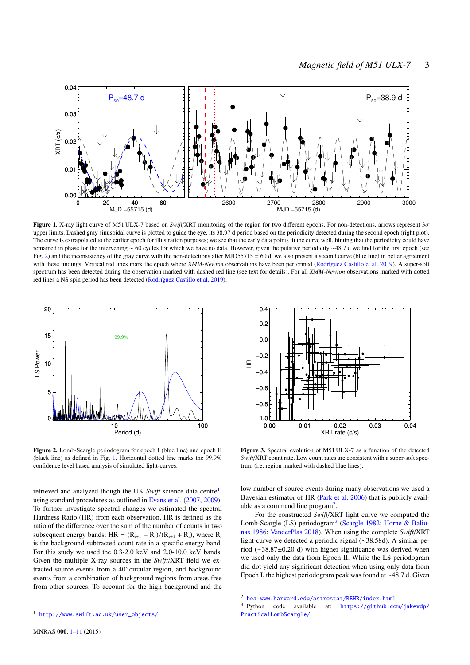

Figure 1. X-ray light curve of M51 ULX-7 based on *Swift*/XRT monitoring of the region for two different epochs. For non-detections, arrows represent 3σ upper limits. Dashed gray sinusoidal curve is plotted to guide the eye, its 38.97 d period based on the periodicity detected during the second epoch (right plot). The curve is extrapolated to the earlier epoch for illustration purposes; we see that the early data points fit the curve well, hinting that the periodicity could have remained in phase for the intervening ∼ 60 cycles for which we have no data. However, given the putative periodicity ∼48.7 d we find for the first epoch (see Fig. [2\)](#page-2-0) and the inconsistency of the gray curve with the non-detections after MJD55715 = 60 d, we also present a second curve (blue line) in better agreement with these findings. Vertical red lines mark the epoch where *XMM-Newton* observations have been performed ([Rodríguez Castillo et al.](#page-9-4) [2019](#page-9-4)). A super-soft spectrum has been detected during the observation marked with dashed red line (see text for details). For all *XMM-Newton* observations marked with dotted red lines a NS spin period has been detected ([Rodríguez Castillo et al.](#page-9-4) [2019\)](#page-9-4).



<span id="page-2-0"></span>Figure 2. Lomb-Scargle periodogram for epoch I (blue line) and epoch II (black line) as defined in Fig. [1.](#page-2-1) Horizontal dotted line marks the 99.9% confidence level based analysis of simulated light-curves.

retrieved and analyzed though the UK Swift science data centre<sup>1</sup>, using standard procedures as outlined in [Evans et al.](#page-9-36) ([2007,](#page-9-36) [2009\)](#page-9-37). To further investigate spectral changes we estimated the spectral Hardness Ratio (HR) from each observation. HR is defined as the ratio of the difference over the sum of the number of counts in two subsequent energy bands: HR =  $(R_{i+1} - R_i)/(R_{i+1} + R_i)$ , where  $R_i$ is the background-subtracted count rate in a specific energy band. For this study we used the 0.3-2.0 keV and 2.0-10.0 keV bands. Given the multiple X-ray sources in the *Swift*/XRT field we extracted source events from a 40′′circular region, and background events from a combination of background regions from areas free from other sources. To account for the high background and the

<span id="page-2-1"></span>

<span id="page-2-2"></span>Figure 3. Spectral evolution of M51 ULX-7 as a function of the detected *Swift*/XRT count rate. Low count rates are consistent with a super-soft spectrum (i.e. region marked with dashed blue lines).

low number of source events during many observations we used a Bayesian estimator of HR ([Park et al.](#page-9-38) [2006\)](#page-9-38) that is publicly available as a command line program<sup>2</sup>.

For the constructed *Swift*/XRT light curve we computed the Lomb-[Scargle](#page-9-39) (LS) periodogram<sup>3</sup> (Scargle [1982](#page-9-39); [Horne & Baliu](#page-9-40)[nas](#page-9-40) [1986;](#page-9-40) [VanderPlas](#page-10-7) [2018\)](#page-10-7). When using the complete *Swift*/XRT light-curve we detected a periodic signal (∼38.58d). A similar period (∼38.87±0.20 d) with higher significance was derived when we used only the data from Epoch II. While the LS periodogram did dot yield any significant detection when using only data from Epoch I, the highest periodogram peak was found at ∼48.7 d. Given

<sup>1</sup> [http://www.swift.ac.uk/user\\_objects/](http://www.swift.ac.uk/user_objects/)

<sup>2</sup> <hea-www.harvard.edu/astrostat/BEHR/index.html>

<sup>3</sup> Python code available at: [https://github.com/jakevdp/](https://github.com/jakevdp/PracticalLombScargle/) [PracticalLombScargle/](https://github.com/jakevdp/PracticalLombScargle/)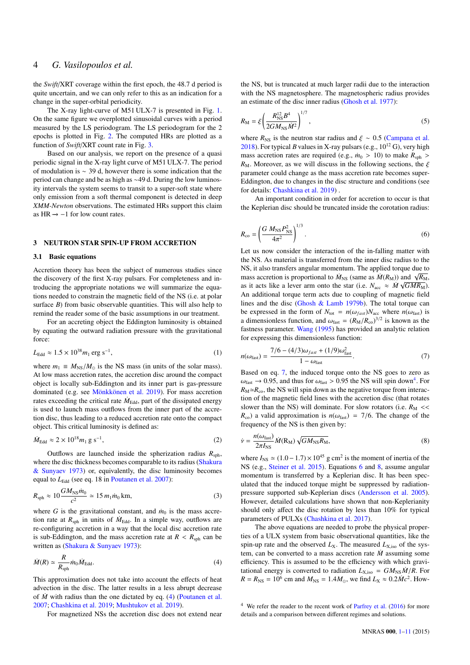the *Swift*/XRT coverage within the first epoch, the 48.7 d period is quite uncertain, and we can only refer to this as an indication for a change in the super-orbital periodicity.

The X-ray light-curve of M51 ULX-7 is presented in Fig. [1.](#page-2-1) On the same figure we overplotted sinusoidal curves with a period measured by the LS periodogram. The LS periodogram for the 2 epochs is plotted in Fig. [2](#page-2-0). The computed HRs are plotted as a function of *Swift*/XRT count rate in Fig. [3.](#page-2-2)

Based on our analysis, we report on the presence of a quasi periodic signal in the X-ray light curve of M51 ULX-7. The period of modulation is ∼ 39 d, however there is some indication that the period can change and be as high as ∼49 d. During the low luminosity intervals the system seems to transit to a super-soft state where only emission from a soft thermal component is detected in deep *XMM-Newton* observations. The estimated HRs support this claim as HR  $\rightarrow$  -1 for low count rates.

#### <span id="page-3-0"></span>3 NEUTRON STAR SPIN-UP FROM ACCRETION

#### 3.1 Basic equations

Accretion theory has been the subject of numerous studies since the discovery of the first X-ray pulsars. For completeness and introducing the appropriate notations we will summarize the equations needed to constrain the magnetic field of the NS (i.e. at polar surface *B*) from basic observable quantities. This will also help to remind the reader some of the basic assumptions in our treatment.

For an accreting object the Eddington luminosity is obtained by equating the outward radiation pressure with the gravitational force:

$$
L_{\rm Edd} \approx 1.5 \times 10^{38} m_1 \, \text{erg s}^{-1},\tag{1}
$$

where  $m_1 \equiv M_{\text{NS}}/M_{\odot}$  is the NS mass (in units of the solar mass). At low mass accretion rates, the accretion disc around the compact object is locally sub-Eddington and its inner part is gas-pressure dominated (e.g. see [Mönkkönen et al.](#page-9-41) [2019](#page-9-41)). For mass accretion rates exceeding the critical rate  $\dot{M}_{\rm Edd}$ , part of the dissipated energy is used to launch mass outflows from the inner part of the accretion disc, thus leading to a reduced accretion rate onto the compact object. This critical luminosity is defined as:

$$
\dot{M}_{\text{Edd}} \approx 2 \times 10^{18} m_1 \,\text{g s}^{-1},\tag{2}
$$

Outflows are launched inside the spherization radius  $R_{\text{sph}}$ , where the disc thickness becomes comparable to its radius ([Shakura](#page-9-42) [& Sunyaev](#page-9-42) [1973](#page-9-42)) or, equivalently, the disc luminosity becomes equal to *L*<sub>Edd</sub> (see eq. 18 in [Poutanen et al.](#page-9-16) [2007\)](#page-9-16):

$$
R_{\rm sph} \approx 10 \frac{GM_{\rm NS} \dot{m}_0}{c^2} \simeq 15 \, m_1 \dot{m}_0 \, \text{km},\tag{3}
$$

where *G* is the gravitational constant, and  $\dot{m}_0$  is the mass accretion rate at  $R_{\rm sph}$  in units of  $\dot{M}_{\rm Edd}$ . In a simple way, outflows are re-configuring accretion in a way that the local disc accretion rate is sub-Eddington, and the mass accretion rate at  $R < R<sub>sph</sub>$  can be written as [\(Shakura & Sunyaev](#page-9-42) [1973\)](#page-9-42):

$$
\dot{M}(R) \simeq \frac{R}{R_{\rm sph}} \dot{m}_0 \dot{M}_{\rm Edd}.
$$
\n(4)

This approximation does not take into account the effects of heat advection in the disc. The latter results in a less abrupt decrease of  $\dot{M}$  with radius than the one dictated by eq. ([4](#page-3-1)) [\(Poutanen et al.](#page-9-16) [2007](#page-9-16); [Chashkina et al.](#page-9-30) [2019](#page-9-30); [Mushtukov et al.](#page-9-31) [2019\)](#page-9-31).

For magnetized NSs the accretion disc does not extend near

the NS, but is truncated at much larger radii due to the interaction with the NS magnetosphere. The magnetospheric radius provides an estimate of the disc inner radius [\(Ghosh et al.](#page-9-43) [1977\)](#page-9-43):

<span id="page-3-5"></span>
$$
R_{\rm M} = \xi \left( \frac{R_{\rm NS}^{12} B^4}{2GM_{\rm NS}\dot{M}^2} \right)^{1/7},\tag{5}
$$

where  $R_{\text{NS}}$  is the neutron star radius and  $\xi \sim 0.5$  ([Campana et al.](#page-9-44) [2018](#page-9-44)). For typical *B* values in X-ray pulsars (e.g.,  $10^{12}$  G), very high mass accretion rates are required (e.g.,  $\dot{m}_0 > 10$ ) to make  $R_{\text{sph}} >$  $R_M$ . Moreover, as we will discuss in the following sections, the  $\xi$ parameter could change as the mass accretion rate becomes super-Eddington, due to changes in the disc structure and conditions (see for details: [Chashkina et al.](#page-9-30) [2019\)](#page-9-30) .

<span id="page-3-3"></span>An important condition in order for accretion to occur is that the Keplerian disc should be truncated inside the corotation radius:

$$
R_{\rm co} = \left(\frac{G M_{\rm NS} P_{\rm NS}^2}{4\pi^2}\right)^{1/3}.
$$
 (6)

Let us now consider the interaction of the in-falling matter with the NS. As material is transferred from the inner disc radius to the NS, it also transfers angular momentum. The applied torque due to mass accretion is proportional to  $\dot{M}_{\text{NS}}$  (same as  $\dot{M}(R_{\text{M}})$ ) and  $\sqrt{R_{\text{M}}}$ , as it acts like a lever arm onto the star (i.e.  $N_{\text{acc}} \approx \dot{M} \sqrt{GMR_{\text{M}}}$ ). An additional torque term acts due to coupling of magnetic field lines and the disc ([Ghosh & Lamb](#page-9-45) [1979b](#page-9-45)). The total torque can be expressed in the form of  $N_{\text{tot}} = n(\omega_{\text{fast}})N_{\text{acc}}$  where  $n(\omega_{\text{fast}})$  is a dimensionless function, and  $\omega_{\text{fast}} = (R_{\text{M}}/R_{\text{co}})^{3/2}$  is known as the fastness parameter. [Wang](#page-10-8) [\(1995](#page-10-8)) has provided an analytic relation for expressing this dimensionless function:

<span id="page-3-2"></span>
$$
n(\omega_{\text{fast}}) = \frac{7/6 - (4/3)\omega_{\text{fast}} + (1/9)\omega_{\text{fast}}^2}{1 - \omega_{\text{fast}}}.
$$
 (7)

Based on eq. [7](#page-3-2), the induced torque onto the NS goes to zero as  $\omega_{\text{fast}} \rightarrow 0.95$ , and thus for  $\omega_{\text{fast}} > 0.95$  the NS will spin down<sup>4</sup>. For  $R_M \simeq R_{\rm co}$ , the NS will spin down as the negative torque from interaction of the magnetic field lines with the accretion disc (that rotates slower than the NS) will dominate. For slow rotators (i.e.  $R_M$  <<  $R_{\rm co}$ ) a valid approximation is  $n(\omega_{\rm fast}) = 7/6$ . The change of the frequency of the NS is then given by:

<span id="page-3-6"></span><span id="page-3-4"></span>
$$
\dot{\nu} = \frac{n(\omega_{\text{fast}})}{2\pi I_{\text{NS}}} \dot{M}(\mathbf{R}_{\text{M}}) \sqrt{GM_{\text{NS}}R_{\text{M}}},\tag{8}
$$

<span id="page-3-7"></span>where  $I_{\text{NS}} \simeq (1.0 - 1.7) \times 10^{45}$  g cm<sup>2</sup> is the moment of inertia of the NS (e.g., [Steiner et al.](#page-9-46) [2015](#page-9-46)). Equations [6](#page-3-3) and [8,](#page-3-4) assume angular momentum is transferred by a Keplerian disc. It has been speculated that the induced torque might be suppressed by radiationpressure supported sub-Keplerian discs ([Andersson et al.](#page-9-47) [2005](#page-9-47)). However, detailed calculations have shown that non-Keplerianity should only affect the disc rotation by less than 10% for typical parameters of PULXs ([Chashkina et al.](#page-9-48) [2017](#page-9-48)).

<span id="page-3-1"></span>The above equations are needed to probe the physical properties of a ULX system from basic observational quantities, like the spin-up rate and the observed  $L_X$ . The measured  $L_{X,iso}$  of the system, can be converted to a mass accretion rate  $\dot{M}$  assuming some efficiency. This is assumed to be the efficiency with which gravitational energy is converted to radiation  $L_{\text{X,iso}} = G M_{\text{NS}} \dot{M} / R$ . For  $R = R_{\text{NS}} = 10^6$  cm and  $M_{\text{NS}} = 1.4 M_{\odot}$ , we find  $L_{\text{X}} \approx 0.2 \dot{M} c^2$ . How-

 $4$  We refer the reader to the recent work of [Parfrey et al.](#page-9-49) [\(2016\)](#page-9-49) for more details and a comparison between different regimes and solutions.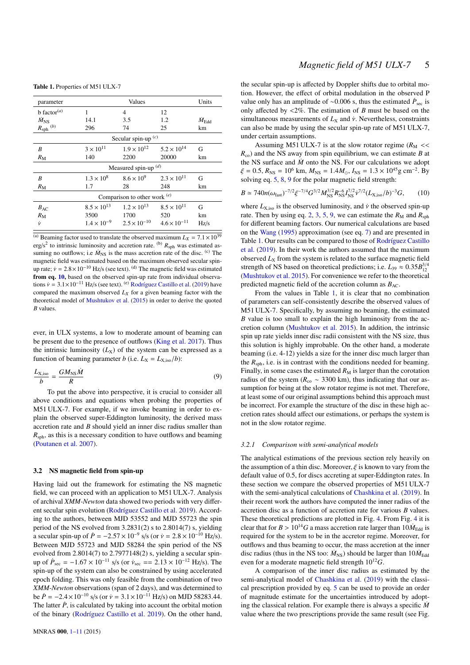<span id="page-4-2"></span>Table 1. Properties of M51 ULX-7

| parameter                      | Values                |                                                                  |                      | Units                  |  |
|--------------------------------|-----------------------|------------------------------------------------------------------|----------------------|------------------------|--|
| $b$ factor <sup>(a)</sup>      | 1                     | 4                                                                | 12                   |                        |  |
| $M_{\rm NS}$                   | 14.1                  | 3.5                                                              | 1.2                  | $\dot{M}_\mathrm{Edd}$ |  |
| $R_{\text{sph}}^{(b)}$         | 296                   | 74                                                               | 25                   | km                     |  |
|                                | Secular spin-up $(c)$ |                                                                  |                      |                        |  |
| B                              | $3\times10^{11}$      | $1.9 \times 10^{12}$                                             | $5.2 \times 10^{14}$ | G                      |  |
| $R_{\rm M}$                    | 140                   | 2200                                                             | 20000                | km                     |  |
| Measured spin-up $(d)$         |                       |                                                                  |                      |                        |  |
| B                              | $1.3 \times 10^{8}$   | $8.6 \times 10^{9}$                                              | $2.3 \times 10^{11}$ | G                      |  |
| $R_{\rm M}$                    | 1.7                   | 28                                                               | 248                  | km                     |  |
| Comparison to other work $(e)$ |                       |                                                                  |                      |                        |  |
| $B_{AC}$                       | $8.5 \times 10^{13}$  | $1.2 \times 10^{13}$                                             | $8.5 \times 10^{11}$ | G                      |  |
| $R_{\rm M}$                    | 3500                  | 1700                                                             | 520                  | km                     |  |
| Ϋ́                             |                       | $1.4 \times 10^{-9}$ $2.5 \times 10^{-10}$ $4.6 \times 10^{-11}$ |                      | Hz/s                   |  |

<sup>(a)</sup> Beaming factor used to translate the observed maximum  $L_X = 7.1 \times 10^{39}$ erg/s<sup>2</sup> to intrinsic luminosity and accretion rate. <sup>(b)</sup>  $R_{\text{sph}}$  was estimated assuming no outflows; i.e  $\dot{M}_{\text{NS}}$  is the mass accretion rate of the disc. <sup>(c)</sup> The magnetic field was estimated based on the maximum observed secular spinup rate;  $\dot{v} = 2.8 \times 10^{-10}$  Hz/s (see text). <sup>(d)</sup> The magnetic field was estimated from eq. [10,](#page-4-0) based on the observed spin-up rate from individual observations  $\dot{v} = 3.1 \times 10^{-11}$  Hz/s (see text). <sup>(e)</sup> [Rodríguez Castillo et al.](#page-9-4) [\(2019](#page-9-4)) have compared the maximum observed  $L_X$  for a given beaming factor with the theoretical model of [Mushtukov et al.](#page-9-7) [\(2015](#page-9-7)) in order to derive the quoted *B* values.

ever, in ULX systems, a low to moderate amount of beaming can be present due to the presence of outflows ([King et al.](#page-9-18) [2017\)](#page-9-18). Thus the intrinsic luminosity  $(L_X)$  of the system can be expressed as a function of beaming parameter *b* (i.e.  $L_X = L_{X,iso}/b$ ):

$$
\frac{L_{\rm X,iso}}{b} = \frac{GM_{\rm NS}\dot{M}}{R} \tag{9}
$$

To put the above into perspective, it is crucial to consider all above conditions and equations when probing the properties of M51 ULX-7. For example, if we invoke beaming in order to explain the observed super-Eddington luminosity, the derived mass accretion rate and *B* should yield an inner disc radius smaller than  $R_{\rm sph}$ , as this is a necessary condition to have outflows and beaming [\(Poutanen et al.](#page-9-16) [2007](#page-9-16)).

#### 3.2 NS magnetic field from spin-up

Having laid out the framework for estimating the NS magnetic field, we can proceed with an application to M51 ULX-7. Analysis of archival *XMM-Newton* data showed two periods with very different secular spin evolution [\(Rodríguez Castillo et al.](#page-9-4) [2019\)](#page-9-4). According to the authors, between MJD 53552 and MJD 55723 the spin period of the NS evolved from 3.2831(2) s to 2.8014(7) s, yielding a secular spin-up of  $\dot{P} = -2.57 \times 10^{-9}$  s/s (or  $\dot{v} = 2.8 \times 10^{-10}$  Hz/s). Between MJD 55723 and MJD 58284 the spin period of the NS evolved from 2.8014(7) to 2.7977148(2) s, yielding a secular spinup of  $\dot{P}_{\text{sec}} = -1.67 \times 10^{-11}$  s/s (or  $\dot{v}_{\text{sec}} = 2.13 \times 10^{-12}$  Hz/s). The spin-up of the system can also be constrained by using accelerated epoch folding. This was only feasible from the combination of two *XMM-Newton* observations (span of 2 days), and was determined to be  $\dot{P} = -2.4 \times 10^{-10}$  s/s (or  $\dot{v} = 3.1 \times 10^{-11}$  Hz/s) on MJD 58283.44. The latter  $\dot{P}$ , is calculated by taking into account the orbital motion of the binary ([Rodríguez Castillo et al.](#page-9-4) [2019\)](#page-9-4). On the other hand,

the secular spin-up is affected by Doppler shifts due to orbital motion. However, the effect of orbital modulation in the observed P value only has an amplitude of ~0.006 s, thus the estimated  $\dot{P}_{\text{sec}}$  is only affected by <2%. The estimation of *B* must be based on the simultaneous measurements of  $L_X$  and  $\dot{v}$ . Nevertheless, constraints can also be made by using the secular spin-up rate of M51 ULX-7, under certain assumptions.

Assuming M51 ULX-7 is at the slow rotator regime ( $R_M$  <<  $R_{\rm co}$ ) and the NS away from spin equilibrium, we can estimate *B* at the NS surface and  $\dot{M}$  onto the NS. For our calculations we adopt  $\xi = 0.5$ ,  $R_{\text{NS}} = 10^6$  km,  $M_{\text{NS}} = 1.4 M_{\odot}$ ,  $I_{\text{NS}} = 1.3 \times 10^{45}$  g cm<sup>-2</sup>. By solving eq. [5](#page-3-5), [8](#page-3-4), [9](#page-4-1) for the polar magnetic field strength:

<span id="page-4-0"></span>
$$
B \simeq 740n(\omega_{\text{fast}})^{-7/2}\xi^{-7/4}G^{3/2}M_{\text{NS}}^{3/2}R_{\text{NS}}^{-6}I_{\text{NS}}^{7/2}\dot{\nu}^{7/2}(L_{\text{X,iso}}/b)^{-3}G,\qquad(10)
$$

where  $L_{\text{X,iso}}$  is the observed luminosity, and  $\dot{v}$  the observed spin-up rate. Then by using eq. [2](#page-3-6), [3](#page-3-7), [5](#page-3-5), [9,](#page-4-1) we can estimate the  $R_M$  and  $R_{\text{sph}}$ for different beaming factors. Our numerical calculations are based on the [Wang](#page-10-8) [\(1995](#page-10-8)) approximation (see eq. [7](#page-3-2)) and are presented in Table [1](#page-4-2). Our results can be compared to those of [Rodríguez Castillo](#page-9-4) [et al.](#page-9-4) [\(2019](#page-9-4)). In their work the authors assumed that the maximum observed  $L<sub>X</sub>$  from the system is related to the surface magnetic field strength of NS based on theoretical predictions; i.e.  $L_{39} \approx 0.35 B_{12}^{3/4}$ [\(Mushtukov et al.](#page-9-7) [2015](#page-9-7)). For convenience we refer to the theoretical predicted magnetic field of the accretion column as  $B_{AC}$ .

<span id="page-4-1"></span>From the values in Table [1](#page-4-2), it is clear that no combination of parameters can self-consistently describe the observed values of M51 ULX-7. Specifically, by assuming no beaming, the estimated *B* value is too small to explain the high luminosity from the accretion column ([Mushtukov et al.](#page-9-7) [2015](#page-9-7)). In addition, the intrinsic spin up rate yields inner disc radii consistent with the NS size, thus this solution is highly improbable. On the other hand, a moderate beaming (i.e. 4-12) yields a size for the inner disc much larger than the  $R_{\rm sph}$ , i.e. is in contrast with the conditions needed for beaming. Finally, in some cases the estimated  $R_M$  is larger than the corotation radius of the system ( $R_{\text{co}} \sim 3300 \text{ km}$ ), thus indicating that our assumption for being at the slow rotator regime is not met. Therefore, at least some of our original assumptions behind this approach must be incorrect. For example the structure of the disc in these high accretion rates should affect our estimations, or perhaps the system is not in the slow rotator regime.

#### *3.2.1 Comparison with semi-analytical models*

The analytical estimations of the previous section rely heavily on the assumption of a thin disc. Moreover,  $\xi$  is known to vary from the default value of 0.5, for discs accreting at super-Eddington rates. In these section we compare the observed properties of M51 ULX-7 with the semi-analytical calculations of [Chashkina et al.](#page-9-30) [\(2019](#page-9-30)). In their recent work the authors have computed the inner radius of the accretion disc as a function of accretion rate for various *B* values. These theoretical predictions are plotted in Fig. [4.](#page-5-0) From Fig. [4](#page-5-0) it is clear that for  $B > 10^{14}G$  a mass accretion rate larger than  $10 \dot{M}_{\text{Edd}}$  is required for the system to be in the accretor regime. Moreover, for outflows and thus beaming to occur, the mass accretion at the inner disc radius (thus in the NS too:  $\dot{M}_{\text{NS}}$ ) should be larger than  $10\dot{M}_{\text{Edd}}$ even for a moderate magnetic field strength 10<sup>12</sup>*G*.

A comparison of the inner disc radius as estimated by the semi-analytical model of [Chashkina et al.](#page-9-30) [\(2019](#page-9-30)) with the classical prescription provided by eq. [5](#page-3-5) can be used to provide an order of magnitude estimate for the uncertainties introduced by adopting the classical relation. For example there is always a specific  $\dot{M}$ value where the two prescriptions provide the same result (see Fig.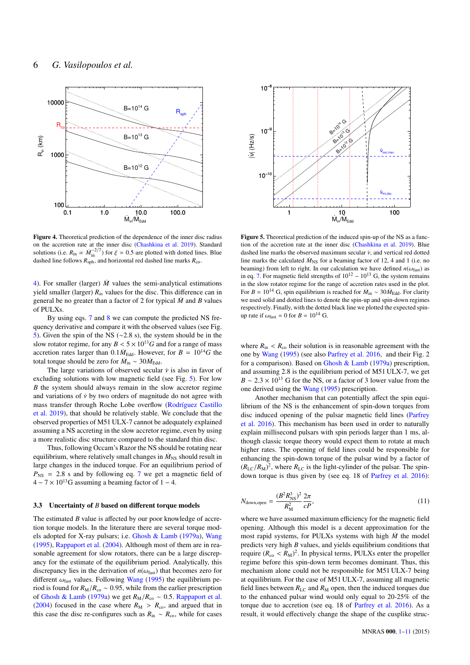

<span id="page-5-0"></span>Figure 4. Theoretical prediction of the dependence of the inner disc radius on the accretion rate at the inner disc ([Chashkina et al.](#page-9-30) [2019](#page-9-30)). Standard solutions (i.e.  $R_{\text{in}} \propto \dot{M}_{\text{in}}^{-2/7}$ ) for  $\xi = 0.5$  are plotted with dotted lines. Blue dashed line follows  $R_{\rm sph}$ , and horizontal red dashed line marks  $R_{\rm co}$ .

[4\)](#page-5-0). For smaller (larger)  $\dot{M}$  values the semi-analytical estimations yield smaller (larger)  $R_{in}$  values for the disc. This difference can in general be no greater than a factor of 2 for typical  $\dot{M}$  and *B* values of PULXs.

By using eqs. [7](#page-3-2) and [8](#page-3-4) we can compute the predicted NS frequency derivative and compare it with the observed values (see Fig. [5\)](#page-5-1). Given the spin of the NS (∼2.8 s), the system should be in the slow rotator regime, for any  $B < 5 \times 10^{13}$  G and for a range of mass accretion rates larger than  $0.1 \dot{M}_{\text{Edd}}$ . However, for  $B = 10^{14} G$  the total torque should be zero for  $\dot{M}_{\rm in} \sim 30 \dot{M}_{\rm Edd}$ .

The large variations of observed secular  $\dot{v}$  is also in favor of excluding solutions with low magnetic field (see Fig. [5\)](#page-5-1). For low *B* the system should always remain in the slow accretor regime and variations of  $\dot{v}$  by two orders of magnitude do not agree with mass transfer through Roche Lobe overflow [\(Rodríguez Castillo](#page-9-4) [et al.](#page-9-4) [2019\)](#page-9-4), that should be relatively stable. We conclude that the observed properties of M51 ULX-7 cannot be adequately explained assuming a NS accreting in the slow accretor regime, even by using a more realistic disc structure compared to the standard thin disc.

Thus, following Occam's Razor the NS should be rotating near equilibrium, where relatively small changes in  $\dot{M}_{NS}$  should result in large changes in the induced torque. For an equilibrium period of  $P_{NS}$  = 2.8 s and by following eq. [7](#page-3-2) we get a magnetic field of  $4 - 7 \times 10^{13}$ G assuming a beaming factor of 1 – 4.

#### 3.3 Uncertainty of *B* based on different torque models

The estimated *B* value is affected by our poor knowledge of accretion torque models. In the literature there are several torque models adopted for X-ray pulsars; i.e. [Ghosh & Lamb](#page-9-50) ([1979a](#page-9-50)), [Wang](#page-10-8) [\(1995](#page-10-8)), [Rappaport et al.](#page-9-51) [\(2004](#page-9-51)). Although most of them are in reasonable agreement for slow rotators, there can be a large discrepancy for the estimate of the equilibrium period. Analytically, this discrepancy lies in the derivation of  $n(\omega_{\text{fast}})$  that becomes zero for different  $\omega_{\text{fast}}$  values. Following [Wang](#page-10-8) [\(1995](#page-10-8)) the equilibrium period is found for  $R_M/R_{\text{co}} \sim 0.95$ , while from the earlier prescription of [Ghosh & Lamb](#page-9-50) [\(1979a](#page-9-50)) we get  $R_M/R_{co}$  ~ 0.5. [Rappaport et al.](#page-9-51) [\(2004](#page-9-51)) focused in the case where  $R_M > R_{\text{co}}$ , and argued that in this case the disc re-configures such as  $R_{\text{in}} \sim R_{\text{co}}$ , while for cases



<span id="page-5-1"></span>Figure 5. Theoretical prediction of the induced spin-up of the NS as a function of the accretion rate at the inner disc [\(Chashkina et al.](#page-9-30) [2019\)](#page-9-30). Blue dashed line marks the observed maximum secular  $\dot{v}$ , and vertical red dotted line marks the calculated  $\dot{M}_{\text{NS}}$  for a beaming factor of 12, 4 and 1 (i.e. no beaming) from left to right. In our calculation we have defined  $n(\omega_{\text{fast}})$  as in eq. [7](#page-3-2). For magnetic field strengths of  $10^{12} - 10^{13}$  G, the system remains in the slow rotator regime for the range of accretion rates used in the plot. For  $B = 10^{14}$  G, spin equilibrium is reached for  $\dot{M}_{\text{in}} \sim 30 \dot{M}_{\text{Edd}}$ . For clarity we used solid and dotted lines to denote the spin-up and spin-down regimes respectively. Finally, with the dotted black line we plotted the expected spinup rate if  $\omega_{\text{fast}} = 0$  for  $B = 10^{14}$  G.

where  $R_{\text{in}} < R_{\text{co}}$  their solution is in reasonable agreement with the one by [Wang](#page-10-8) [\(1995\)](#page-10-8) (see also [Parfrey et al.](#page-9-49) [2016,](#page-9-49) and their Fig. 2 for a comparison). Based on [Ghosh & Lamb](#page-9-50) ([1979a\)](#page-9-50) prescription, and assuming 2.8 is the equilibrium period of M51 ULX-7, we get  $B \sim 2.3 \times 10^{13}$  G for the NS, or a factor of 3 lower value from the one derived using the [Wang](#page-10-8) ([1995\)](#page-10-8) prescription.

Another mechanism that can potentially affect the spin equilibrium of the NS is the enhancement of spin-down torques from disc induced opening of the pulsar magnetic field lines [\(Parfrey](#page-9-49) [et al.](#page-9-49) [2016](#page-9-49)). This mechanism has been used in order to naturally explain millisecond pulsars with spin periods larger than 1 ms, although classic torque theory would expect them to rotate at much higher rates. The opening of field lines could be responsible for enhancing the spin-down torque of the pulsar wind by a factor of  $(R_{\text{LC}}/R_{\text{M}})^2$ , where  $R_{\text{LC}}$  is the light-cylinder of the pulsar. The spindown torque is thus given by (see eq. 18 of [Parfrey et al.](#page-9-49) [2016\)](#page-9-49):

$$
N_{\text{down,open}} = \frac{(B^2 R_{\text{NS}}^3)^2}{R_{\text{M}}^2} \frac{2\pi}{cP},\tag{11}
$$

where we have assumed maximum efficiency for the magnetic field opening. Although this model is a decent approximation for the most rapid systems, for PULXs systems with high *M*˙ the model predicts very high *B* values, and yields equilibrium conditions that require  $(R_{\rm co} < R_{\rm M})^2$ . In physical terms, PULXs enter the propeller regime before this spin-down term becomes dominant. Thus, this mechanism alone could not be responsible for M51 ULX-7 being at equilibrium. For the case of M51 ULX-7, assuming all magnetic field lines between  $R_{\text{LC}}$  and  $R_{\text{M}}$  open, then the induced torques due to the enhanced pulsar wind would only equal to 20-25% of the torque due to accretion (see eq. 18 of [Parfrey et al.](#page-9-49) [2016](#page-9-49)). As a result, it would effectively change the shape of the cusplike struc-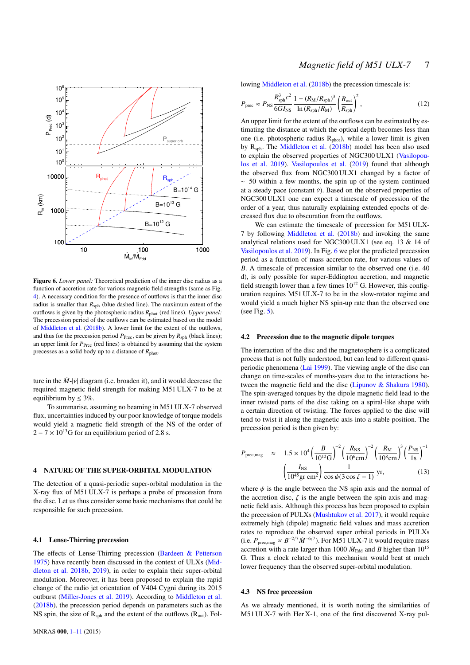

<span id="page-6-1"></span>Figure 6. *Lower panel:* Theoretical prediction of the inner disc radius as a function of accretion rate for various magnetic field strengths (same as Fig. [4](#page-5-0)). A necessary condition for the presence of outflows is that the inner disc radius is smaller than  $R_{\rm sph}$  (blue dashed line). The maximum extent of the outflows is given by the photospheric radius  $R_{\text{phot}}$  (red lines). *Upper panel:* The precession period of the outflows can be estimated based on the model of [Middleton et al.](#page-9-21) [\(2018b](#page-9-21)). A lower limit for the extent of the outflows, and thus for the precession period  $P_{\text{Prec}}$ , can be given by  $R_{\text{sph}}$  (black lines); an upper limit for  $P_{\text{Prec}}$  (red lines) is obtained by assuming that the system precesses as a solid body up to a distance of *R*phot.

ture in the  $\dot{M}$ - $|\dot{v}|$  diagram (i.e. broaden it), and it would decrease the required magnetic field strength for making M51 ULX-7 to be at equilibrium by  $\leq 3\%$ .

To summarise, assuming no beaming in M51 ULX-7 observed flux, uncertainties induced by our poor knowledge of torque models would yield a magnetic field strength of the NS of the order of  $2 - 7 \times 10^{13}$ G for an equilibrium period of 2.8 s.

## <span id="page-6-0"></span>4 NATURE OF THE SUPER-ORBITAL MODULATION

The detection of a quasi-periodic super-orbital modulation in the X-ray flux of M51 ULX-7 is perhaps a probe of precession from the disc. Let us thus consider some basic mechanisms that could be responsible for such precession.

#### 4.1 Lense-Thirring precession

The effects of Lense-Thirring precession ([Bardeen & Petterson](#page-9-52) [1975](#page-9-52)) have recently been discussed in the context of ULXs [\(Mid](#page-9-21)[dleton et al.](#page-9-21) [2018b,](#page-9-21) [2019](#page-9-22)), in order to explain their super-orbital modulation. Moreover, it has been proposed to explain the rapid change of the radio jet orientation of V404 Cygni during its 2015 outburst [\(Miller-Jones et al.](#page-9-53) [2019](#page-9-53)). According to [Middleton et al.](#page-9-21) [\(2018b\)](#page-9-21), the precession period depends on parameters such as the NS spin, the size of  $R<sub>sph</sub>$  and the extent of the outflows ( $R<sub>out</sub>$ ). Fol-

# *Magnetic field of M51 ULX-7* 7

lowing [Middleton et al.](#page-9-21) [\(2018b\)](#page-9-21) the precession timescale is:

$$
P_{\text{prec}} \approx P_{\text{NS}} \frac{R_{\text{sph}}^3 c^2}{6G I_{\text{NS}}} \frac{1 - (R_{\text{M}}/R_{\text{sph}})^3}{\ln \left(R_{\text{sph}}/R_{\text{M}}\right)} \left(\frac{R_{\text{out}}}{R_{\text{sph}}}\right)^2, \tag{12}
$$

An upper limit for the extent of the outflows can be estimated by estimating the distance at which the optical depth becomes less than one (i.e. photospheric radius  $R<sub>phot</sub>$ ), while a lower limit is given by R<sub>sph</sub>. The [Middleton et al.](#page-9-21) [\(2018b\)](#page-9-21) model has been also used to explain the observed properties of NGC300 ULX1 [\(Vasilopou](#page-10-4)[los et al.](#page-10-4) [2019](#page-10-4)). [Vasilopoulos et al.](#page-10-4) ([2019\)](#page-10-4) found that although the observed flux from NGC300 ULX1 changed by a factor of ∼ 50 within a few months, the spin up of the system continued at a steady pace (constant  $\dot{v}$ ). Based on the observed properties of NGC300 ULX1 one can expect a timescale of precession of the order of a year, thus naturally explaining extended epochs of decreased flux due to obscuration from the outflows.

We can estimate the timescale of precession for M51 ULX-7 by following [Middleton et al.](#page-9-21) ([2018b](#page-9-21)) and invoking the same analytical relations used for NGC300 ULX1 (see eq. 13 & 14 of [Vasilopoulos et al.](#page-10-4) [2019](#page-10-4)). In Fig. [6](#page-6-1) we plot the predicted precession period as a function of mass accretion rate, for various values of *B*. A timescale of precession similar to the observed one (i.e. 40 d), is only possible for super-Eddington accretion, and magnetic field strength lower than a few times  $10^{12}$  G. However, this configuration requires M51 ULX-7 to be in the slow-rotator regime and would yield a much higher NS spin-up rate than the observed one (see Fig. [5\)](#page-5-1).

#### 4.2 Precession due to the magnetic dipole torques

The interaction of the disc and the magnetosphere is a complicated process that is not fully understood, but can lead to different quasiperiodic phenomena [\(Lai](#page-9-54) [1999\)](#page-9-54). The viewing angle of the disc can change on time-scales of months-years due to the interactions between the magnetic field and the disc [\(Lipunov & Shakura](#page-9-55) [1980](#page-9-55)). The spin-averaged torques by the dipole magnetic field lead to the inner twisted parts of the disc taking on a spiral-like shape with a certain direction of twisting. The forces applied to the disc will tend to twist it along the magnetic axis into a stable position. The precession period is then given by:

<span id="page-6-2"></span>
$$
P_{\text{prec,mag}} \approx 1.5 \times 10^4 \left(\frac{B}{10^{12} \text{G}}\right)^{-2} \left(\frac{R_{\text{NS}}}{10^6 \text{cm}}\right)^{-2} \left(\frac{R_{\text{M}}}{10^8 \text{cm}}\right)^3 \left(\frac{P_{\text{NS}}}{1 \text{s}}\right)^{-1} \left(\frac{I_{\text{NS}}}{10^{45} \text{gr cm}^2}\right) \frac{1}{\cos \psi (3 \cos \zeta - 1)} \text{ yr}, \tag{13}
$$

where  $\psi$  is the angle between the NS spin axis and the normal of the accretion disc,  $\zeta$  is the angle between the spin axis and magnetic field axis. Although this process has been proposed to explain the precession of PULXs ([Mushtukov et al.](#page-9-56) [2017\)](#page-9-56), it would require extremely high (dipole) magnetic field values and mass accretion rates to reproduce the observed super orbital periods in PULXs (i.e.  $P_{\text{prec,mag}} \propto B^{-2/7} \dot{M}^{-6/7}$ ). For M51 ULX-7 it would require mass accretion with a rate larger than 1000  $\dot{M}_{\text{Edd}}$  and *B* higher than 10<sup>15</sup> G. Thus a clock related to this mechanism would beat at much lower frequency than the observed super-orbital modulation.

#### <span id="page-6-3"></span>4.3 NS free precession

As we already mentioned, it is worth noting the similarities of M51 ULX-7 with Her X-1, one of the first discovered X-ray pul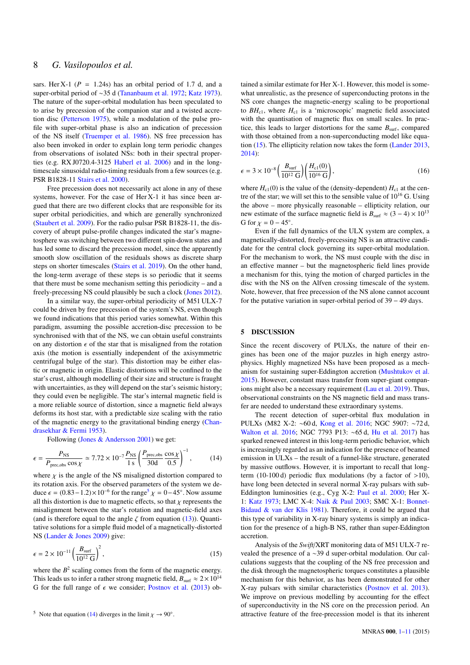sars. Her X-1 ( $P = 1.24$ s) has an orbital period of 1.7 d, and a super-orbital period of ∼35 d [\(Tananbaum et al.](#page-9-57) [1972;](#page-9-57) [Katz](#page-9-58) [1973\)](#page-9-58). The nature of the super-orbital modulation has been speculated to to arise by precession of the companion star and a twisted accretion disc [\(Petterson](#page-9-59) [1975](#page-9-59)), while a modulation of the pulse profile with super-orbital phase is also an indication of precession of the NS itself [\(Truemper et al.](#page-9-60) [1986](#page-9-60)). NS free precession has also been invoked in order to explain long term periodic changes from observations of isolated NSs: both in their spectral properties (e.g. RX J0720.4-3125 [Haberl et al.](#page-9-61) [2006](#page-9-61)) and in the longtimescale sinusoidal radio-timing residuals from a few sources (e.g. PSR B1828-11 [Stairs et al.](#page-9-62) [2000\)](#page-9-62).

Free precession does not necessarily act alone in any of these systems, however. For the case of Her X-1 it has since been argued that there are two different clocks that are responsible for its super orbital periodicities, and which are generally synchronized [\(Staubert et al.](#page-9-63) [2009](#page-9-63)). For the radio pulsar PSR B1828-11, the discovery of abrupt pulse-profile changes indicated the star's magnetosphere was switching between two different spin-down states and has led some to discard the precession model, since the apparently smooth slow oscillation of the residuals shows as discrete sharp steps on shorter timescales [\(Stairs et al.](#page-9-64) [2019\)](#page-9-64). On the other hand, the long-term average of these steps is so periodic that it seems that there must be some mechanism setting this periodicity – and a freely-precessing NS could plausibly be such a clock [\(Jones](#page-9-65) [2012\)](#page-9-65).

In a similar way, the super-orbital periodicity of M51 ULX-7 could be driven by free precession of the system's NS, even though we found indications that this period varies somewhat. Within this paradigm, assuming the possible accretion-disc precession to be synchronised with that of the NS, we can obtain useful constraints on any distortion  $\epsilon$  of the star that is misaligned from the rotation axis (the motion is essentially independent of the axisymmetric centrifugal bulge of the star). This distortion may be either elastic or magnetic in origin. Elastic distortions will be confined to the star's crust, although modelling of their size and structure is fraught with uncertainties, as they will depend on the star's seismic history; they could even be negligible. The star's internal magnetic field is a more reliable source of distortion, since a magnetic field always deforms its host star, with a predictable size scaling with the ratio of the magnetic energy to the gravitational binding energy [\(Chan](#page-9-66)[drasekhar & Fermi](#page-9-66) [1953](#page-9-66)).

Following ([Jones & Andersson](#page-9-67) [2001\)](#page-9-67) we get:

$$
\epsilon = \frac{P_{\rm NS}}{P_{\rm prec,obs} \cos \chi} \simeq 7.72 \times 10^{-7} \frac{P_{\rm NS}}{1 \text{ s}} \left( \frac{P_{\rm prec,obs}}{30 \text{d}} \frac{\cos \chi}{0.5} \right)^{-1},\tag{14}
$$

where  $\chi$  is the angle of the NS misaligned distortion compared to its rotation axis. For the observed parameters of the system we deduce  $\epsilon = (0.83 - 1.2) \times 10^{-6}$  for the range<sup>5</sup>  $\chi = 0 - 45^{\circ}$ . Now assume all this distortion is due to magnetic effects, so that  $\chi$  represents the misalignment between the star's rotation and magnetic-field axes (and is therefore equal to the angle  $\zeta$  from equation [\(13](#page-6-2))). Quantitative solutions for a simple fluid model of a magnetically-distorted NS ([Lander & Jones](#page-9-68) [2009\)](#page-9-68) give:

<span id="page-7-1"></span>
$$
\epsilon = 2 \times 10^{-11} \left( \frac{B_{\text{surf}}}{10^{12} \text{ G}} \right)^2,\tag{15}
$$

where the  $B<sup>2</sup>$  scaling comes from the form of the magnetic energy. This leads us to infer a rather strong magnetic field,  $B_{\text{surf}} \approx 2 \times 10^{14}$ G for the full range of  $\epsilon$  we consider; [Postnov et al.](#page-9-69) ([2013\)](#page-9-69) ob-

tained a similar estimate for Her X-1. However, this model is somewhat unrealistic, as the presence of superconducting protons in the NS core changes the magnetic-energy scaling to be proportional to  $BH<sub>c1</sub>$ , where  $H<sub>c1</sub>$  is a 'microscopic' magnetic field associated with the quantisation of magnetic flux on small scales. In practice, this leads to larger distortions for the same  $B_{\text{surf}}$ , compared with those obtained from a non-superconducting model like equation [\(15](#page-7-1)). The ellipticity relation now takes the form [\(Lander](#page-9-70) [2013,](#page-9-70)  $2014$ 

<span id="page-7-2"></span>
$$
\epsilon = 3 \times 10^{-8} \left( \frac{B_{\text{surf}}}{10^{12} \text{ G}} \right) \left( \frac{H_{\text{c1}}(0)}{10^{16} \text{ G}} \right),\tag{16}
$$

where  $H_{c1}(0)$  is the value of the (density-dependent)  $H_{c1}$  at the centre of the star; we will set this to the sensible value of  $10^{16}$  G. Using the above – more physically reasonable – ellipticity relation, our new estimate of the surface magnetic field is  $B_{\text{surf}} \approx (3 - 4) \times 10^{13}$ G for  $\chi = 0 - 45^\circ$ .

Even if the full dynamics of the ULX system are complex, a magnetically-distorted, freely-precessing NS is an attractive candidate for the central clock governing its super-orbital modulation. For the mechanism to work, the NS must couple with the disc in an effective manner – but the magnetospheric field lines provide a mechanism for this, tying the motion of charged particles in the disc with the NS on the Alfven crossing timescale of the system. Note, however, that free precession of the NS alone cannot account for the putative variation in super-orbital period of 39 − 49 days.

### 5 DISCUSSION

Since the recent discovery of PULXs, the nature of their engines has been one of the major puzzles in high energy astrophysics. Highly magnetized NSs have been proposed as a mechanism for sustaining super-Eddington accretion ([Mushtukov et al.](#page-9-7) [2015](#page-9-7)). However, constant mass transfer from super-giant companions might also be a necessary requirement ([Lau et al.](#page-9-72) [2019\)](#page-9-72). Thus, observational constraints on the NS magnetic field and mass transfer are needed to understand these extraordinary systems.

<span id="page-7-0"></span>The recent detection of super-orbital flux modulation in PULXs (M82 X-2: ∼60 d, [Kong et al.](#page-9-73) [2016;](#page-9-73) NGC 5907: ∼72 d, [Walton et al.](#page-10-9) [2016;](#page-10-9) NGC 7793 P13: ∼65 d, [Hu et al.](#page-9-74) [2017\)](#page-9-74) has sparked renewed interest in this long-term periodic behavior, which is increasingly regarded as an indication for the presence of beamed emission in ULXs – the result of a funnel-like structure, generated by massive outflows. However, it is important to recall that longterm (10-100 d) periodic flux modulations (by a factor of  $>10$ ), have long been detected in several normal X-ray pulsars with sub-Eddington luminosities (e.g., Cyg X-2: [Paul et al.](#page-9-75) [2000](#page-9-75); Her X-1: [Katz](#page-9-58) [1973](#page-9-58); LMC X-4: [Naik & Paul](#page-9-76) [2003](#page-9-76); SMC X-1: [Bonnet-](#page-9-77)[Bidaud & van der Klis](#page-9-77) [1981](#page-9-77)). Therefore, it could be argued that this type of variability in X-ray binary systems is simply an indication for the presence of a high-B NS, rather than super-Eddington accretion.

Analysis of the *Swift*/XRT monitoring data of M51 ULX-7 revealed the presence of a ∼39 d super-orbital modulation. Our calculations suggests that the coupling of the NS free precession and the disk through the magnetospheric torques constitutes a plausible mechanism for this behavior, as has been demonstrated for other X-ray pulsars with similar characteristics ([Postnov et al.](#page-9-69) [2013](#page-9-69)). We improve on previous modelling by accounting for the effect of superconductivity in the NS core on the precession period. An attractive feature of the free-precession model is that its inherent

<sup>&</sup>lt;sup>5</sup> Note that equation [\(14](#page-7-0)) diverges in the limit  $\chi \to 90^\circ$ .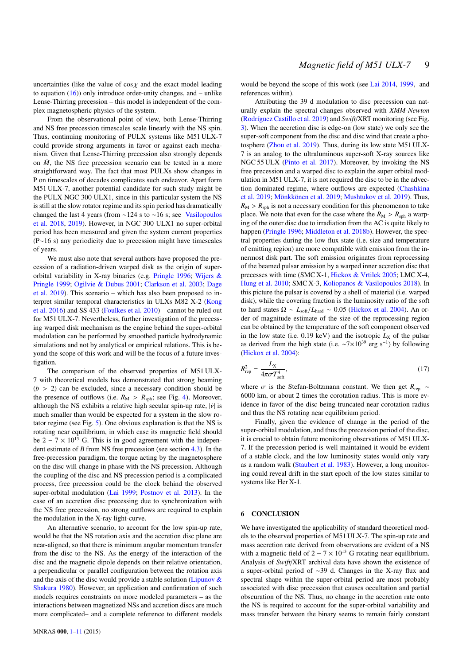uncertainties (like the value of  $\cos \chi$  and the exact model leading to equation  $(16)$  $(16)$ ) only introduce order-unity changes, and – unlike Lense-Thirring precession – this model is independent of the complex magnetospheric physics of the system.

From the observational point of view, both Lense-Thirring and NS free precession timescales scale linearly with the NS spin. Thus, continuing monitoring of PULX systems like M51 ULX-7 could provide strong arguments in favor or against each mechanism. Given that Lense-Thirring precession also strongly depends on  $\dot{M}$ , the NS free precession scenario can be tested in a more straightforward way. The fact that most PULXs show changes in P on timescales of decades complicates such endeavor. Apart form M51 ULX-7, another potential candidate for such study might be the PULX NGC 300 ULX1, since in this particular system the NS is still at the slow rotator regime and its spin period has dramatically changed the last 4 years (from ∼124 s to ∼16 s; see [Vasilopoulos](#page-10-3) [et al.](#page-10-3) [2018](#page-10-3), [2019](#page-10-4)). However, in NGC 300 ULX1 no super-orbital period has been measured and given the system current properties (P∼16 s) any periodicity due to precession might have timescales of years.

We must also note that several authors have proposed the precession of a radiation-driven warped disk as the origin of superorbital variability in X-ray binaries (e.g. [Pringle](#page-9-27) [1996;](#page-9-27) [Wijers &](#page-10-10) [Pringle](#page-10-10) [1999;](#page-10-10) [Ogilvie & Dubus](#page-9-29) [2001;](#page-9-29) [Clarkson et al.](#page-9-78) [2003;](#page-9-78) [Dage](#page-9-79) [et al.](#page-9-79) [2019](#page-9-79)). This scenario – which has also been proposed to interpret similar temporal characteristics in ULXs M82 X-2 ([Kong](#page-9-73) [et al.](#page-9-73) [2016\)](#page-9-73) and SS 433 ([Foulkes et al.](#page-9-28) [2010\)](#page-9-28) – cannot be ruled out for M51 ULX-7. Nevertheless, further investigation of the precessing warped disk mechanism as the engine behind the super-orbital modulation can be performed by smoothed particle hydrodynamic simulations and not by analytical or empirical relations. This is beyond the scope of this work and will be the focus of a future investigation.

The comparison of the observed properties of M51 ULX-7 with theoretical models has demonstrated that strong beaming  $(b > 2)$  can be excluded, since a necessary condition should be the presence of outflows (i.e.  $R_M > R_{\text{sph}}$ ; see Fig. [4\)](#page-5-0). Moreover, although the NS exhibits a relative high secular spin-up rate,  $|\dot{v}|$  is much smaller than would be expected for a system in the slow rotator regime (see Fig. [5](#page-5-1)). One obvious explanation is that the NS is rotating near equilibrium, in which case its magnetic field should be  $2 - 7 \times 10^{13}$  G. This is in good agreement with the independent estimate of *B* from NS free precession (see section [4.3](#page-6-3)). In the free-precession paradigm, the torque acting by the magnetosphere on the disc will change in phase with the NS precession. Although the coupling of the disc and NS precession period is a complicated process, free precession could be the clock behind the observed super-orbital modulation ([Lai](#page-9-54) [1999](#page-9-54); [Postnov et al.](#page-9-69) [2013\)](#page-9-69). In the case of an accretion disc precessing due to synchronization with the NS free precession, no strong outflows are required to explain the modulation in the X-ray light-curve.

An alternative scenario, to account for the low spin-up rate, would be that the NS rotation axis and the accretion disc plane are near-aligned, so that there is minimum angular momentum transfer from the disc to the NS. As the energy of the interaction of the disc and the magnetic dipole depends on their relative orientation, a perpendicular or parallel configuration between the rotation axis and the axis of the disc would provide a stable solution ([Lipunov &](#page-9-55) [Shakura](#page-9-55) [1980](#page-9-55)). However, an application and confirmation of such models requires constraints on more modeled parameters – as the interactions between magnetized NSs and accretion discs are much more complicated– and a complete reference to different models

would be beyond the scope of this work (see [Lai](#page-9-80) [2014](#page-9-80), [1999](#page-9-54), and references within).

Attributing the 39 d modulation to disc precession can naturally explain the spectral changes observed with *XMM-Newton* [\(Rodríguez Castillo et al.](#page-9-4) [2019](#page-9-4)) and *Swift*/XRT monitoring (see Fig. [3\)](#page-2-2). When the accretion disc is edge-on (low state) we only see the super-soft component from the disc and disc wind that create a photosphere [\(Zhou et al.](#page-10-11) [2019](#page-10-11)). Thus, during its low state M51 ULX-7 is an analog to the ultraluminous super-soft X-ray sources like NGC 55 ULX ([Pinto et al.](#page-9-81) [2017\)](#page-9-81). Moreover, by invoking the NS free precession and a warped disc to explain the super orbital modulation in M51 ULX-7, it is not required the disc to be in the advection dominated regime, where outflows are expected [\(Chashkina](#page-9-30) [et al.](#page-9-30) [2019;](#page-9-30) [Mönkkönen et al.](#page-9-41) [2019](#page-9-41); [Mushtukov et al.](#page-9-31) [2019\)](#page-9-31). Thus,  $R_M > R_{sph}$  is not a necessary condition for this phenomenon to take place. We note that even for the case where the  $R_M > R_{\rm sph}$  a warping of the outer disc due to irradiation from the AC is quite likely to happen [\(Pringle](#page-9-27) [1996](#page-9-27); [Middleton et al.](#page-9-21) [2018b](#page-9-21)). However, the spectral properties during the low flux state (i.e. size and temperature of emitting region) are more compatible with emission from the innermost disk part. The soft emission originates from reprocessing of the beamed pulsar emission by a warped inner accretion disc that precesses with time (SMC X-1, [Hickox & Vrtilek](#page-9-82) [2005](#page-9-82); LMC X-4, [Hung et al.](#page-9-83) [2010](#page-9-83); SMC X-3, [Koliopanos & Vasilopoulos](#page-9-84) [2018](#page-9-84)). In this picture the pulsar is covered by a shell of material (i.e. warped disk), while the covering fraction is the luminosity ratio of the soft to hard states  $Ω \sim L_{soft}/L_{hard} \sim 0.05$  ([Hickox et al.](#page-9-85) [2004](#page-9-85)). An order of magnitude estimate of the size of the reprocessing region can be obtained by the temperature of the soft component observed in the low state (i.e.  $0.19 \text{ keV}$ ) and the isotropic  $L_X$  of the pulsar as derived from the high state (i.e.  $\sim 7 \times 10^{39}$  erg s<sup>-1</sup>) by following [\(Hickox et al.](#page-9-85) [2004](#page-9-85)):

$$
R_{\rm rep}^2 = \frac{L_{\rm X}}{4\pi\sigma T_{\rm soft}^4},\tag{17}
$$

where  $\sigma$  is the Stefan-Boltzmann constant. We then get  $R_{\text{rep}}$  ∼ 6000 km, or about 2 times the corotation radius. This is more evidence in favor of the disc being truncated near corotation radius and thus the NS rotating near equilibrium period.

Finally, given the evidence of change in the period of the super-orbital modulation, and thus the precession period of the disc, it is crucial to obtain future monitoring observations of M51 ULX-7. If the precession period is well maintained it would be evident of a stable clock, and the low luminosity states would only vary as a random walk ([Staubert et al.](#page-9-86) [1983](#page-9-86)). However, a long monitoring could reveal drift in the start epoch of the low states similar to systems like Her X-1.

#### <span id="page-8-0"></span>**CONCLUSION**

We have investigated the applicability of standard theoretical models to the observed properties of M51 ULX-7. The spin-up rate and mass accretion rate derived from observations are evident of a NS with a magnetic field of  $2 - 7 \times 10^{13}$  G rotating near equilibrium. Analysis of *Swift*/XRT archival data have shown the existence of a super-orbital period of ∼39 d. Changes in the X-ray flux and spectral shape within the super-orbital period are most probably associated with disc precession that causes occultation and partial obscuration of the NS. Thus, no change in the accretion rate onto the NS is required to account for the super-orbital variability and mass transfer between the binary seems to remain fairly constant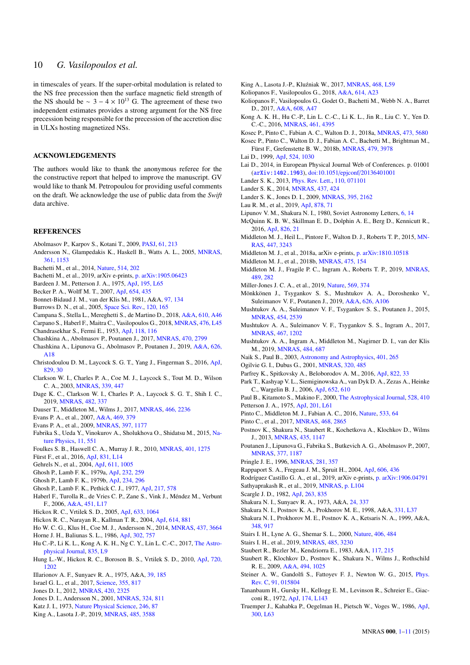# 10 *G. Vasilopoulos et al.*

in timescales of years. If the super-orbital modulation is related to the NS free precession then the surface magnetic field strength of the NS should be  $\sim 3 - 4 \times 10^{13}$  G. The agreement of these two independent estimates provides a strong argument for the NS free precession being responsible for the precession of the accretion disc in ULXs hosting magnetized NSs.

## ACKNOWLEDGEMENTS

The authors would like to thank the anonymous referee for the the constructive report that helped to improve the manuscript. GV would like to thank M. Petropoulou for providing useful comments on the draft. We acknowledge the use of public data from the *Swift* data archive.

#### **REFERENCES**

- <span id="page-9-17"></span>Abolmasov P., Karpov S., Kotani T., 2009, [PASJ](http://dx.doi.org/10.1093/pasj/61.2.213), [61, 213](https://ui.adsabs.harvard.edu/abs/2009PASJ...61..213A)
- <span id="page-9-47"></span>Andersson N., Glampedakis K., Haskell B., Watts A. L., 2005, [MNRAS](http://dx.doi.org/10.1111/j.1365-2966.2005.09167.x), [361, 1153](https://ui.adsabs.harvard.edu/abs/2005MNRAS.361.1153A)
- <span id="page-9-0"></span>Bachetti M., et al., 2014, [Nature,](http://dx.doi.org/10.1038/nature13791) [514, 202](http://adsabs.harvard.edu/abs/2014Natur.514..202B)
- <span id="page-9-12"></span>Bachetti M., et al., 2019, arXiv e-prints, [p. arXiv:1905.06423](https://ui.adsabs.harvard.edu/abs/2019arXiv190506423B)
- <span id="page-9-52"></span>Bardeen J. M., Petterson J. A., 1975, [ApJ](http://dx.doi.org/10.1086/181711), [195, L65](https://ui.adsabs.harvard.edu/abs/1975ApJ...195L..65B)
- <span id="page-9-10"></span>Becker P. A., Wolff M. T., 2007, [ApJ,](http://dx.doi.org/10.1086/509108) [654, 435](https://ui.adsabs.harvard.edu/abs/2007ApJ...654..435B)
- <span id="page-9-77"></span>Bonnet-Bidaud J. M., van der Klis M., 1981, A&A, [97, 134](https://ui.adsabs.harvard.edu/abs/1981A%26A....97..134B)
- <span id="page-9-35"></span>Burrows D. N., et al., 2005, [Space Sci. Rev.,](http://dx.doi.org/10.1007/s11214-005-5097-2) [120, 165](http://adsabs.harvard.edu/abs/2005SSRv..120..165B)
- <span id="page-9-44"></span>Campana S., Stella L., Mereghetti S., de Martino D., 2018, [A&A,](http://dx.doi.org/10.1051/0004-6361/201730769) [610, A46](http://adsabs.harvard.edu/abs/2018A%26A...610A..46C)
- <span id="page-9-66"></span><span id="page-9-1"></span>Carpano S., Haberl F., Maitra C., Vasilopoulos G., 2018, [MNRAS](http://dx.doi.org/10.1093/mnrasl/sly030), [476, L45](http://adsabs.harvard.edu/abs/2018MNRAS.476L..45C) Chandrasekhar S., Fermi E., 1953, [ApJ,](http://dx.doi.org/10.1086/145732) [118, 116](https://ui.adsabs.harvard.edu/abs/1953ApJ...118..116C)
- <span id="page-9-48"></span>Chashkina A., Abolmasov P., Poutanen J., 2017, [MNRAS,](http://dx.doi.org/10.1093/mnras/stx1372) [470, 2799](http://adsabs.harvard.edu/abs/2017MNRAS.470.2799C)
- <span id="page-9-30"></span>Chashkina A., Lipunova G., Abolmasov P., Poutanen J., 2019, [A&A,](http://dx.doi.org/10.1051/0004-6361/201834414) [626,](https://ui.adsabs.harvard.edu/abs/2019A&A...626A..18C) [A18](https://ui.adsabs.harvard.edu/abs/2019A&A...626A..18C)
- <span id="page-9-9"></span>Christodoulou D. M., Laycock S. G. T., Yang J., Fingerman S., 2016, [ApJ](http://dx.doi.org/10.3847/0004-637X/829/1/30), [829, 30](https://ui.adsabs.harvard.edu/abs/2016ApJ...829...30C)
- <span id="page-9-78"></span>Clarkson W. I., Charles P. A., Coe M. J., Laycock S., Tout M. D., Wilson C. A., 2003, [MNRAS,](http://dx.doi.org/10.1046/j.1365-8711.2003.06176.x) [339, 447](https://ui-adsabs-harvard-edu.insu.bib.cnrs.fr/abs/2003MNRAS.339..447C)
- <span id="page-9-79"></span>Dage K. C., Clarkson W. I., Charles P. A., Laycock S. G. T., Shih I. C., 2019, [MNRAS,](http://dx.doi.org/10.1093/mnras/sty2572) [482, 337](https://ui-adsabs-harvard-edu.insu.bib.cnrs.fr/abs/2019MNRAS.482..337D)
- <span id="page-9-23"></span>Dauser T., Middleton M., Wilms J., 2017, [MNRAS](http://dx.doi.org/10.1093/mnras/stw3304), [466, 2236](https://ui.adsabs.harvard.edu/abs/2017MNRAS.466.2236D)
- <span id="page-9-36"></span>Evans P. A., et al., 2007, [A&A,](http://dx.doi.org/10.1051/0004-6361:20077530) [469, 379](http://adsabs.harvard.edu/abs/2007A%26A...469..379E)
- <span id="page-9-37"></span>Evans P. A., et al., 2009, [MNRAS](http://dx.doi.org/10.1111/j.1365-2966.2009.14913.x), [397, 1177](http://adsabs.harvard.edu/abs/2009MNRAS.397.1177E)
- <span id="page-9-33"></span>Fabrika S., Ueda Y., Vinokurov A., Sholukhova O., Shidatsu M., 2015, [Na](http://dx.doi.org/10.1038/nphys3348)[ture Physics](http://dx.doi.org/10.1038/nphys3348), [11, 551](https://ui.adsabs.harvard.edu/abs/2015NatPh..11..551F)
- <span id="page-9-28"></span>Foulkes S. B., Haswell C. A., Murray J. R., 2010, [MNRAS,](http://dx.doi.org/10.1111/j.1365-2966.2009.15721.x) [401, 1275](https://ui.adsabs.harvard.edu/abs/2010MNRAS.401.1275F)
- <span id="page-9-3"></span>Fürst F., et al., 2016, [ApJ,](http://dx.doi.org/10.3847/2041-8205/831/2/L14) [831, L14](https://ui.adsabs.harvard.edu/abs/2016ApJ...831L..14F)
- <span id="page-9-34"></span>Gehrels N., et al., 2004, [ApJ,](http://dx.doi.org/10.1086/422091) [611, 1005](http://adsabs.harvard.edu/abs/2004ApJ...611.1005G)
- <span id="page-9-50"></span>Ghosh P., Lamb F. K., 1979a, [ApJ,](http://dx.doi.org/10.1086/157285) [232, 259](http://cdsads.u-strasbg.fr/abs/1979ApJ...232..259G)
- <span id="page-9-45"></span>Ghosh P., Lamb F. K., 1979b, [ApJ](http://dx.doi.org/10.1086/157498), [234, 296](http://adsabs.harvard.edu/abs/1979ApJ...234..296G)
- <span id="page-9-43"></span>Ghosh P., Lamb F. K., Pethick C. J., 1977, [ApJ,](http://dx.doi.org/10.1086/155606) [217, 578](http://adsabs.harvard.edu/abs/1977ApJ...217..578G)
- <span id="page-9-61"></span>Haberl F., Turolla R., de Vries C. P., Zane S., Vink J., Méndez M., Verbunt F., 2006, [A&A,](http://dx.doi.org/10.1051/0004-6361:20065093) [451, L17](https://ui.adsabs.harvard.edu/abs/2006A&A...451L..17H)
- <span id="page-9-82"></span>Hickox R. C., Vrtilek S. D., 2005, [ApJ,](http://dx.doi.org/10.1086/491596) [633, 1064](https://ui.adsabs.harvard.edu/abs/2005ApJ...633.1064H)
- <span id="page-9-85"></span>Hickox R. C., Narayan R., Kallman T. R., 2004, [ApJ](http://dx.doi.org/10.1086/423928), [614, 881](https://ui.adsabs.harvard.edu/abs/2004ApJ...614..881H)
- <span id="page-9-8"></span>Ho W. C. G., Klus H., Coe M. J., Andersson N., 2014, [MNRAS](http://dx.doi.org/10.1093/mnras/stt2193), [437, 3664](https://ui.adsabs.harvard.edu/abs/2014MNRAS.437.3664H)
- <span id="page-9-40"></span>Horne J. H., Baliunas S. L., 1986, [ApJ,](http://dx.doi.org/10.1086/164037) [302, 757](http://adsabs.harvard.edu/abs/1986ApJ...302..757H)
- <span id="page-9-74"></span>Hu C.-P., Li K. L., Kong A. K. H., Ng C. Y., Lin L. C.-C., 2017, [The Astro](http://dx.doi.org/10.3847/2041-8213/835/1/L9)[physical Journal,](http://dx.doi.org/10.3847/2041-8213/835/1/L9) [835, L9](https://ui-adsabs-harvard-edu.insu.bib.cnrs.fr/abs/2017ApJ...835L...9H)
- <span id="page-9-83"></span>Hung L.-W., Hickox R. C., Boroson B. S., Vrtilek S. D., 2010, [ApJ,](http://dx.doi.org/10.1088/0004-637X/720/2/1202) [720,](https://ui.adsabs.harvard.edu/abs/2010ApJ...720.1202H) [1202](https://ui.adsabs.harvard.edu/abs/2010ApJ...720.1202H)
- <span id="page-9-11"></span>Illarionov A. F., Sunyaev R. A., 1975, A&A, [39, 185](https://ui.adsabs.harvard.edu/abs/1975A&A....39..185I)
- <span id="page-9-2"></span>Israel G. L., et al., 2017, [Science,](http://dx.doi.org/10.1126/science.aai8635) [355, 817](http://adsabs.harvard.edu/abs/2017Sci...355..817I)
- <span id="page-9-65"></span>Jones D. I., 2012, [MNRAS](http://dx.doi.org/10.1111/j.1365-2966.2011.20238.x), [420, 2325](https://ui.adsabs.harvard.edu/abs/2012MNRAS.420.2325J)
- <span id="page-9-67"></span>Jones D. I., Andersson N., 2001, [MNRAS](http://dx.doi.org/10.1046/j.1365-8711.2001.04251.x), [324, 811](https://ui.adsabs.harvard.edu/abs/2001MNRAS.324..811J)
- <span id="page-9-58"></span>Katz J. I., 1973, [Nature Physical Science](http://dx.doi.org/10.1038/physci246087a0), [246, 87](https://ui.adsabs.harvard.edu/abs/1973NPhS..246...87K)
- <span id="page-9-19"></span>King A., Lasota J.-P., 2019, [MNRAS,](http://dx.doi.org/10.1093/mnras/stz720) [485, 3588](https://ui.adsabs.harvard.edu/abs/2019MNRAS.485.3588K)
- <span id="page-9-18"></span>King A., Lasota J.-P., Kluźniak W., 2017, [MNRAS,](http://dx.doi.org/10.1093/mnrasl/slx020) [468, L59](https://ui.adsabs.harvard.edu/abs/2017MNRAS.468L..59K)
- <span id="page-9-84"></span>Koliopanos F., Vasilopoulos G., 2018, [A&A,](http://dx.doi.org/10.1051/0004-6361/201731623) [614, A23](https://ui.adsabs.harvard.edu/abs/2018A&A...614A..23K)
- <span id="page-9-6"></span>Koliopanos F., Vasilopoulos G., Godet O., Bachetti M., Webb N. A., Barret D., 2017, [A&A,](http://dx.doi.org/10.1051/0004-6361/201730922) [608, A47](https://ui.adsabs.harvard.edu/abs/2017A&A...608A..47K)
- <span id="page-9-73"></span>Kong A. K. H., Hu C.-P., Lin L. C.-C., Li K. L., Jin R., Liu C. Y., Yen D. C.-C., 2016, [MNRAS](http://dx.doi.org/10.1093/mnras/stw1558), [461, 4395](https://ui-adsabs-harvard-edu.insu.bib.cnrs.fr/abs/2016MNRAS.461.4395K)
- <span id="page-9-15"></span>Kosec P., Pinto C., Fabian A. C., Walton D. J., 2018a, [MNRAS](http://dx.doi.org/10.1093/mnras/stx2695), [473, 5680](https://ui.adsabs.harvard.edu/abs/2018MNRAS.473.5680K)
- <span id="page-9-14"></span>Kosec P., Pinto C., Walton D. J., Fabian A. C., Bachetti M., Brightman M., Fürst F., Grefenstette B. W., 2018b, [MNRAS,](http://dx.doi.org/10.1093/mnras/sty1626) [479, 3978](https://ui.adsabs.harvard.edu/abs/2018MNRAS.479.3978K)
- <span id="page-9-54"></span>Lai D., 1999, [ApJ](http://dx.doi.org/10.1086/307850), [524, 1030](https://ui.adsabs.harvard.edu/abs/1999ApJ...524.1030L)
- <span id="page-9-80"></span>Lai D., 2014, in European Physical Journal Web of Conferences. p. 01001 ([arXiv:1402.1903](http://arxiv.org/abs/1402.1903)), doi:10.1051/epjconf/[20136401001](http://dx.doi.org/10.1051/epjconf/20136401001)
- <span id="page-9-70"></span>Lander S. K., 2013, [Phys. Rev. Lett.](http://dx.doi.org/10.1103/PhysRevLett.110.071101), [110, 071101](https://ui.adsabs.harvard.edu/abs/2013PhRvL.110g1101L)
- <span id="page-9-71"></span>Lander S. K., 2014, [MNRAS](http://dx.doi.org/10.1093/mnras/stt1894), [437, 424](https://ui.adsabs.harvard.edu/abs/2014MNRAS.437..424L)
- <span id="page-9-68"></span>Lander S. K., Jones D. I., 2009, [MNRAS](http://dx.doi.org/10.1111/j.1365-2966.2009.14667.x), [395, 2162](https://ui.adsabs.harvard.edu/abs/2009MNRAS.395.2162L)
- <span id="page-9-72"></span>Lau R. M., et al., 2019, [ApJ](http://dx.doi.org/10.3847/1538-4357/ab1b1c), [878, 71](https://ui.adsabs.harvard.edu/abs/2019ApJ...878...71L)
- <span id="page-9-55"></span>Lipunov V. M., Shakura N. I., 1980, Soviet Astronomy Letters, [6, 14](https://ui.adsabs.harvard.edu/abs/1980SvAL....6...14L)
- <span id="page-9-32"></span>McQuinn K. B. W., Skillman E. D., Dolphin A. E., Berg D., Kennicutt R., 2016, [ApJ](http://dx.doi.org/10.3847/0004-637X/826/1/21), [826, 21](https://ui.adsabs.harvard.edu/abs/2016ApJ...826...21M)
- <span id="page-9-20"></span>Middleton M. J., Heil L., Pintore F., Walton D. J., Roberts T. P., 2015, [MN-](http://dx.doi.org/10.1093/mnras/stu2644)[RAS](http://dx.doi.org/10.1093/mnras/stu2644), [447, 3243](https://ui.adsabs.harvard.edu/abs/2015MNRAS.447.3243M)
- <span id="page-9-24"></span>Middleton M. J., et al., 2018a, arXiv e-prints, [p. arXiv:1810.10518](https://ui.adsabs.harvard.edu/abs/2018arXiv181010518M)
- <span id="page-9-21"></span>Middleton M. J., et al., 2018b, [MNRAS](http://dx.doi.org/10.1093/mnras/stx2986), [475, 154](https://ui.adsabs.harvard.edu/abs/2018MNRAS.475..154M)
- <span id="page-9-22"></span>Middleton M. J., Fragile P. C., Ingram A., Roberts T. P., 2019, [MNRAS](http://dx.doi.org/10.1093/mnras/stz2005), [489, 282](https://ui.adsabs.harvard.edu/abs/2019MNRAS.489..282M)
- <span id="page-9-53"></span>Miller-Jones J. C. A., et al., 2019, [Nature](http://dx.doi.org/10.1038/s41586-019-1152-0), [569, 374](https://ui.adsabs.harvard.edu/abs/2019Natur.569..374M)
- <span id="page-9-41"></span>Mönkkönen J., Tsygankov S. S., Mushtukov A. A., Doroshenko V., Suleimanov V. F., Poutanen J., 2019, [A&A](http://dx.doi.org/10.1051/0004-6361/201935507), [626, A106](https://ui.adsabs.harvard.edu/abs/2019A&A...626A.106M)
- <span id="page-9-7"></span>Mushtukov A. A., Suleimanov V. F., Tsygankov S. S., Poutanen J., 2015, [MNRAS,](http://dx.doi.org/10.1093/mnras/stv2087) [454, 2539](https://ui.adsabs.harvard.edu/abs/2015MNRAS.454.2539M)
- <span id="page-9-56"></span>Mushtukov A. A., Suleimanov V. F., Tsygankov S. S., Ingram A., 2017, [MNRAS,](http://dx.doi.org/10.1093/mnras/stx141) [467, 1202](https://ui.adsabs.harvard.edu/abs/2017MNRAS.467.1202M)
- <span id="page-9-31"></span>Mushtukov A. A., Ingram A., Middleton M., Nagirner D. I., van der Klis M., 2019, [MNRAS,](http://dx.doi.org/10.1093/mnras/sty3525) [484, 687](https://ui.adsabs.harvard.edu/abs/2019MNRAS.484..687M)
- <span id="page-9-76"></span>Naik S., Paul B., 2003, [Astronomy and Astrophysics](http://dx.doi.org/10.1051/0004-6361:20030111), [401, 265](https://ui-adsabs-harvard-edu.insu.bib.cnrs.fr/abs/2003A&A...401..265N)
- <span id="page-9-29"></span>Ogilvie G. I., Dubus G., 2001, [MNRAS](http://dx.doi.org/10.1046/j.1365-8711.2001.04011.x), [320, 485](https://ui.adsabs.harvard.edu/abs/2001MNRAS.320..485O)
- <span id="page-9-49"></span>Parfrey K., Spitkovsky A., Beloborodov A. M., 2016, [ApJ](http://dx.doi.org/10.3847/0004-637X/822/1/33), [822, 33](http://adsabs.harvard.edu/abs/2016ApJ...822...33P)
- <span id="page-9-38"></span>Park T., Kashyap V. L., Siemiginowska A., van Dyk D. A., Zezas A., Heinke C., Wargelin B. J., 2006, [ApJ,](http://dx.doi.org/10.1086/507406) [652, 610](https://ui.adsabs.harvard.edu/abs/2006ApJ...652..610P)

<span id="page-9-75"></span>Paul B., Kitamoto S., Makino F., 2000, [The Astrophysical Journal,](http://dx.doi.org/10.1086/308149) [528, 410](https://ui-adsabs-harvard-edu.insu.bib.cnrs.fr/abs/2000ApJ...528..410P)

- <span id="page-9-59"></span>Petterson J. A., 1975, [ApJ](http://dx.doi.org/10.1086/181942), [201, L61](https://ui.adsabs.harvard.edu/abs/1975ApJ...201L..61P)
- <span id="page-9-13"></span>Pinto C., Middleton M. J., Fabian A. C., 2016, [Nature,](http://dx.doi.org/10.1038/nature17417) [533, 64](http://adsabs.harvard.edu/abs/2016Natur.533...64P)
- <span id="page-9-81"></span>Pinto C., et al., 2017, [MNRAS,](http://dx.doi.org/10.1093/mnras/stx641) [468, 2865](https://ui.adsabs.harvard.edu/abs/2017MNRAS.468.2865P)
- <span id="page-9-69"></span>Postnov K., Shakura N., Staubert R., Kochetkova A., Klochkov D., Wilms J., 2013, [MNRAS,](http://dx.doi.org/10.1093/mnras/stt1363) [435, 1147](https://ui.adsabs.harvard.edu/abs/2013MNRAS.435.1147P)
- <span id="page-9-16"></span>Poutanen J., Lipunova G., Fabrika S., Butkevich A. G., Abolmasov P., 2007, [MNRAS,](http://dx.doi.org/10.1111/j.1365-2966.2007.11668.x) [377, 1187](http://adsabs.harvard.edu/abs/2007MNRAS.377.1187P)
- <span id="page-9-27"></span>Pringle J. E., 1996, [MNRAS](http://dx.doi.org/10.1093/mnras/281.1.357), [281, 357](https://ui.adsabs.harvard.edu/abs/1996MNRAS.281..357P)
- <span id="page-9-51"></span>Rappaport S. A., Fregeau J. M., Spruit H., 2004, [ApJ](http://dx.doi.org/10.1086/382863), [606, 436](https://ui.adsabs.harvard.edu/abs/2004ApJ...606..436R)
- <span id="page-9-4"></span>Rodríguez Castillo G. A., et al., 2019, arXiv e-prints, [p. arXiv:1906.04791](https://ui.adsabs.harvard.edu/abs/2019arXiv190604791R)
- <span id="page-9-5"></span>Sathyaprakash R., et al., 2019, [MNRAS,](http://dx.doi.org/10.1093/mnrasl/slz086) [p. L104](https://ui.adsabs.harvard.edu/abs/2019MNRAS.tmpL.104S)
- <span id="page-9-39"></span>Scargle J. D., 1982, [ApJ](http://dx.doi.org/10.1086/160554), [263, 835](http://adsabs.harvard.edu/abs/1982ApJ...263..835S)
- <span id="page-9-42"></span>Shakura N. I., Sunyaev R. A., 1973, A&A, [24, 337](http://adsabs.harvard.edu/abs/1973A%26A....24..337S)
- <span id="page-9-25"></span>Shakura N. I., Postnov K. A., Prokhorov M. E., 1998, A&A, [331, L37](https://ui.adsabs.harvard.edu/abs/1998A&A...331L..37S)
- <span id="page-9-26"></span>Shakura N. I., Prokhorov M. E., Postnov K. A., Ketsaris N. A., 1999, A&A, [348, 917](https://ui.adsabs.harvard.edu/abs/1999A&A...348..917S)
- <span id="page-9-62"></span>Stairs I. H., Lyne A. G., Shemar S. L., 2000, [Nature](http://dx.doi.org/10.1038/35020010), [406, 484](https://ui.adsabs.harvard.edu/abs/2000Natur.406..484S)
- <span id="page-9-64"></span>Stairs I. H., et al., 2019, [MNRAS](http://dx.doi.org/10.1093/mnras/stz647), [485, 3230](https://ui.adsabs.harvard.edu/abs/2019MNRAS.485.3230S)
- <span id="page-9-86"></span>Staubert R., Bezler M., Kendziorra E., 1983, A&A, [117, 215](https://ui.adsabs.harvard.edu/abs/1983A&A...117..215S)
- <span id="page-9-63"></span>Staubert R., Klochkov D., Postnov K., Shakura N., Wilms J., Rothschild R. E., 2009, [A&A](http://dx.doi.org/10.1051/0004-6361:200810743), [494, 1025](https://ui.adsabs.harvard.edu/abs/2009A&A...494.1025S)
- <span id="page-9-46"></span>Steiner A. W., Gandolfi S., Fattoyev F. J., Newton W. G., 2015, [Phys.](http://dx.doi.org/10.1103/PhysRevC.91.015804) [Rev. C,](http://dx.doi.org/10.1103/PhysRevC.91.015804) [91, 015804](https://ui.adsabs.harvard.edu/abs/2015PhRvC..91a5804S)
- <span id="page-9-57"></span>Tananbaum H., Gursky H., Kellogg E. M., Levinson R., Schreier E., Giacconi R., 1972, [ApJ](http://dx.doi.org/10.1086/180968), [174, L143](https://ui.adsabs.harvard.edu/abs/1972ApJ...174L.143T)
- <span id="page-9-60"></span>Truemper J., Kahabka P., Oegelman H., Pietsch W., Voges W., 1986, [ApJ](http://dx.doi.org/10.1086/184604), [300, L63](https://ui.adsabs.harvard.edu/abs/1986ApJ...300L..63T)